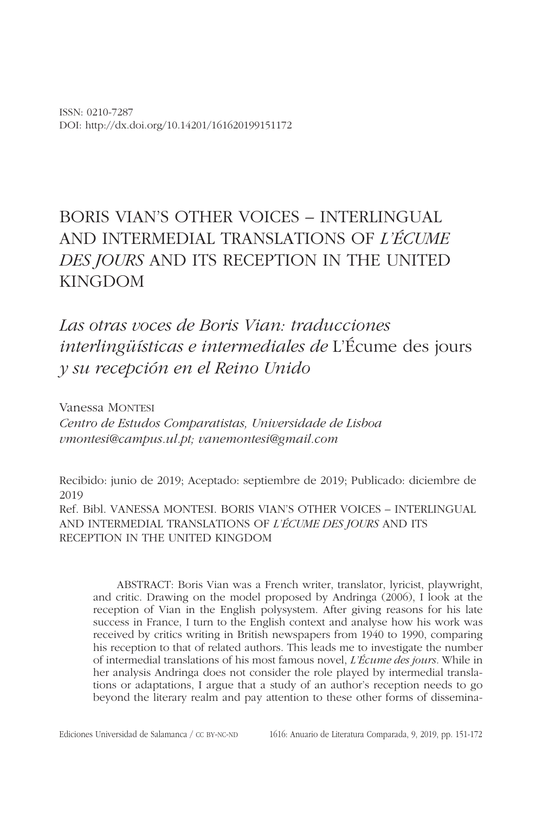ISSN: 0210-7287 DOI: http://dx.doi.org/10.14201/161620199151172

# BORIS VIAN'S OTHER VOICES – INTERLINGUAL AND INTERMEDIAL TRANSLATIONS OF *L'ÉCUME DES JOURS* AND ITS RECEPTION IN THE UNITED KINGDOM

*Las otras voces de Boris Vian: traducciones interlingüísticas e intermediales de* L'Écume des jours *y su recepción en el Reino Unido*

Vanessa MONTESI *Centro de Estudos Comparatistas, Universidade de Lisboa vmontesi@campus.ul.pt; vanemontesi@gmail.com*

Recibido: junio de 2019; Aceptado: septiembre de 2019; Publicado: diciembre de 2019 Ref. Bibl. VANESSA MONTESI. BORIS VIAN'S OTHER VOICES – INTERLINGUAL AND INTERMEDIAL TRANSLATIONS OF *L'ÉCUME DES JOURS* AND ITS RECEPTION IN THE UNITED KINGDOM

ABSTRACT: Boris Vian was a French writer, translator, lyricist, playwright, and critic. Drawing on the model proposed by Andringa (2006), I look at the reception of Vian in the English polysystem. After giving reasons for his late success in France, I turn to the English context and analyse how his work was received by critics writing in British newspapers from 1940 to 1990, comparing his reception to that of related authors. This leads me to investigate the number of intermedial translations of his most famous novel, *L'Écume des jours.* While in her analysis Andringa does not consider the role played by intermedial translations or adaptations, I argue that a study of an author's reception needs to go beyond the literary realm and pay attention to these other forms of dissemina-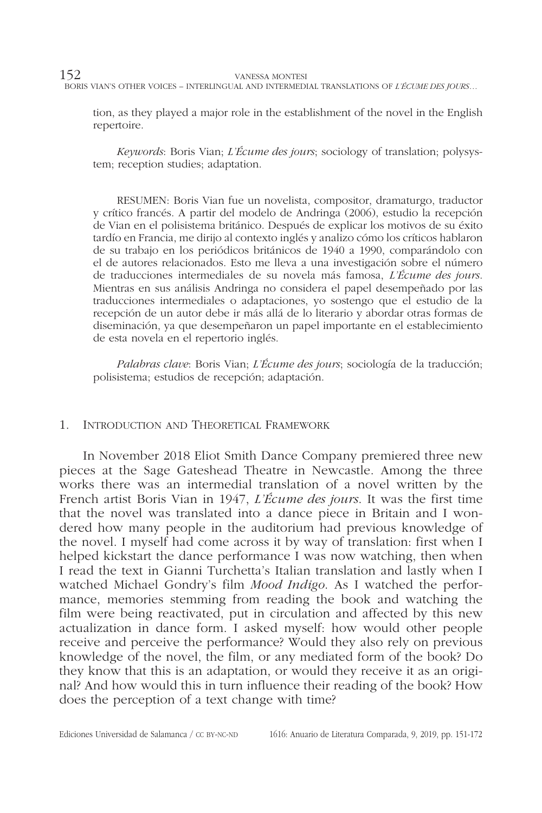tion, as they played a major role in the establishment of the novel in the English repertoire.

*Keywords*: Boris Vian; *L'Écume des jours*; sociology of translation; polysystem; reception studies; adaptation.

RESUMEN: Boris Vian fue un novelista, compositor, dramaturgo, traductor y crítico francés. A partir del modelo de Andringa (2006), estudio la recepción de Vian en el polisistema británico. Después de explicar los motivos de su éxito tardío en Francia, me dirijo al contexto inglés y analizo cómo los críticos hablaron de su trabajo en los periódicos británicos de 1940 a 1990, comparándolo con el de autores relacionados. Esto me lleva a una investigación sobre el número de traducciones intermediales de su novela más famosa, *L'Écume des jours*. Mientras en sus análisis Andringa no considera el papel desempeñado por las traducciones intermediales o adaptaciones, yo sostengo que el estudio de la recepción de un autor debe ir más allá de lo literario y abordar otras formas de diseminación, ya que desempeñaron un papel importante en el establecimiento de esta novela en el repertorio inglés.

*Palabras clave*: Boris Vian; *L'Écume des jours*; sociología de la traducción; polisistema; estudios de recepción; adaptación.

### 1. Introduction and Theoretical Framework

In November 2018 Eliot Smith Dance Company premiered three new pieces at the Sage Gateshead Theatre in Newcastle. Among the three works there was an intermedial translation of a novel written by the French artist Boris Vian in 1947, *L'Écume des jours*. It was the first time that the novel was translated into a dance piece in Britain and I wondered how many people in the auditorium had previous knowledge of the novel. I myself had come across it by way of translation: first when I helped kickstart the dance performance I was now watching, then when I read the text in Gianni Turchetta's Italian translation and lastly when I watched Michael Gondry's film *Mood Indigo*. As I watched the performance, memories stemming from reading the book and watching the film were being reactivated, put in circulation and affected by this new actualization in dance form. I asked myself: how would other people receive and perceive the performance? Would they also rely on previous knowledge of the novel, the film, or any mediated form of the book? Do they know that this is an adaptation, or would they receive it as an original? And how would this in turn influence their reading of the book? How does the perception of a text change with time?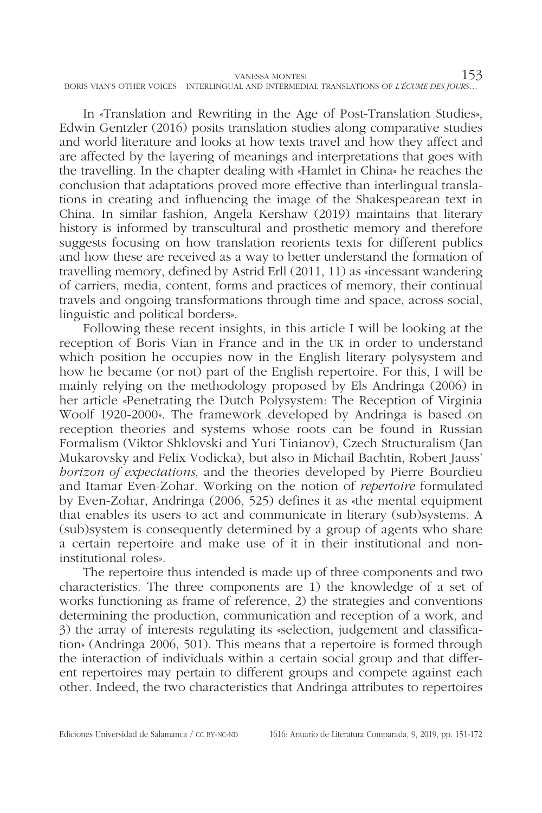| VANESSA MONTESI                                                                            |  |
|--------------------------------------------------------------------------------------------|--|
| BORIS VIAN'S OTHER VOICES - INTERLINGUAL AND INTERMEDIAL TRANSLATIONS OF L'ÉCUME DES JOURS |  |

In «Translation and Rewriting in the Age of Post-Translation Studies», Edwin Gentzler (2016) posits translation studies along comparative studies and world literature and looks at how texts travel and how they affect and are affected by the layering of meanings and interpretations that goes with the travelling. In the chapter dealing with «Hamlet in China» he reaches the conclusion that adaptations proved more effective than interlingual translations in creating and influencing the image of the Shakespearean text in China. In similar fashion, Angela Kershaw (2019) maintains that literary history is informed by transcultural and prosthetic memory and therefore suggests focusing on how translation reorients texts for different publics and how these are received as a way to better understand the formation of travelling memory, defined by Astrid Erll (2011, 11) as «incessant wandering of carriers, media, content, forms and practices of memory, their continual travels and ongoing transformations through time and space, across social, linguistic and political borders».

Following these recent insights, in this article I will be looking at the reception of Boris Vian in France and in the uk in order to understand which position he occupies now in the English literary polysystem and how he became (or not) part of the English repertoire. For this, I will be mainly relying on the methodology proposed by Els Andringa (2006) in her article «Penetrating the Dutch Polysystem: The Reception of Virginia Woolf 1920-2000». The framework developed by Andringa is based on reception theories and systems whose roots can be found in Russian Formalism (Viktor Shklovski and Yuri Tinianov), Czech Structuralism (Jan Mukarovsky and Felix Vodicka), but also in Michail Bachtin, Robert Jauss' *horizon of expectations,* and the theories developed by Pierre Bourdieu and Itamar Even-Zohar. Working on the notion of *repertoire* formulated by Even-Zohar, Andringa (2006, 525) defines it as «the mental equipment that enables its users to act and communicate in literary (sub)systems. A (sub)system is consequently determined by a group of agents who share a certain repertoire and make use of it in their institutional and noninstitutional roles».

The repertoire thus intended is made up of three components and two characteristics. The three components are 1) the knowledge of a set of works functioning as frame of reference, 2) the strategies and conventions determining the production, communication and reception of a work, and 3) the array of interests regulating its «selection, judgement and classification» (Andringa 2006, 501). This means that a repertoire is formed through the interaction of individuals within a certain social group and that different repertoires may pertain to different groups and compete against each other. Indeed, the two characteristics that Andringa attributes to repertoires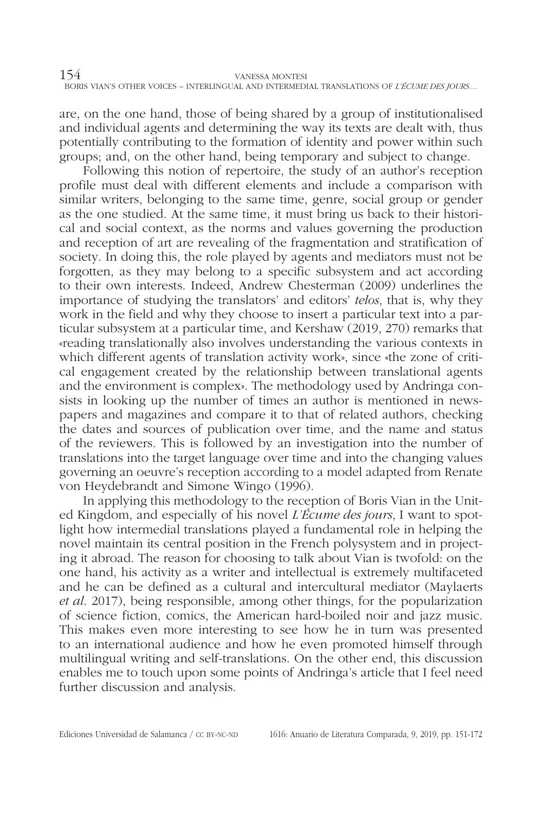are, on the one hand, those of being shared by a group of institutionalised and individual agents and determining the way its texts are dealt with, thus potentially contributing to the formation of identity and power within such groups; and, on the other hand, being temporary and subject to change.

Following this notion of repertoire, the study of an author's reception profile must deal with different elements and include a comparison with similar writers, belonging to the same time, genre, social group or gender as the one studied. At the same time, it must bring us back to their historical and social context, as the norms and values governing the production and reception of art are revealing of the fragmentation and stratification of society. In doing this, the role played by agents and mediators must not be forgotten, as they may belong to a specific subsystem and act according to their own interests. Indeed, Andrew Chesterman (2009) underlines the importance of studying the translators' and editors' *telos*, that is, why they work in the field and why they choose to insert a particular text into a particular subsystem at a particular time, and Kershaw (2019, 270) remarks that «reading translationally also involves understanding the various contexts in which different agents of translation activity work», since «the zone of critical engagement created by the relationship between translational agents and the environment is complex». The methodology used by Andringa consists in looking up the number of times an author is mentioned in newspapers and magazines and compare it to that of related authors, checking the dates and sources of publication over time, and the name and status of the reviewers. This is followed by an investigation into the number of translations into the target language over time and into the changing values governing an oeuvre's reception according to a model adapted from Renate von Heydebrandt and Simone Wingo (1996).

In applying this methodology to the reception of Boris Vian in the United Kingdom, and especially of his novel *L'Écume des jours*, I want to spotlight how intermedial translations played a fundamental role in helping the novel maintain its central position in the French polysystem and in projecting it abroad. The reason for choosing to talk about Vian is twofold: on the one hand, his activity as a writer and intellectual is extremely multifaceted and he can be defined as a cultural and intercultural mediator (Maylaerts *et al*. 2017), being responsible, among other things, for the popularization of science fiction, comics, the American hard-boiled noir and jazz music. This makes even more interesting to see how he in turn was presented to an international audience and how he even promoted himself through multilingual writing and self-translations. On the other end, this discussion enables me to touch upon some points of Andringa's article that I feel need further discussion and analysis.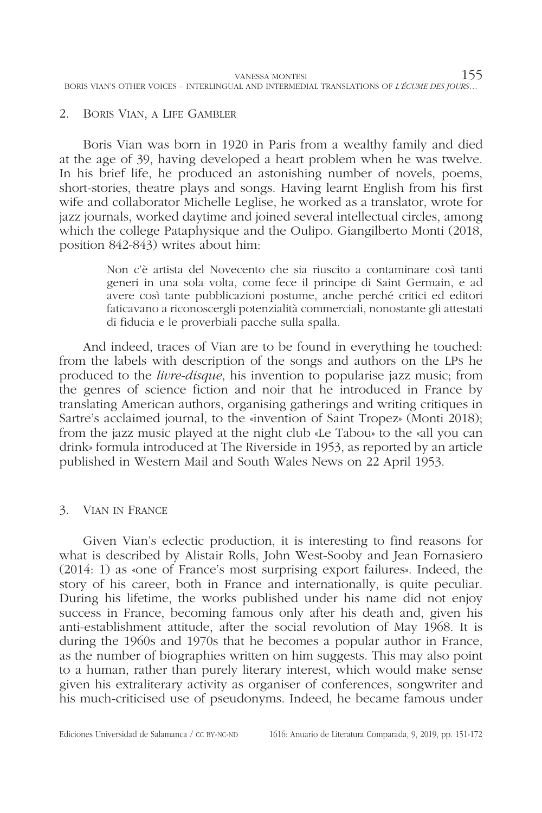### 2. Boris Vian, a Life Gambler

Boris Vian was born in 1920 in Paris from a wealthy family and died at the age of 39, having developed a heart problem when he was twelve. In his brief life, he produced an astonishing number of novels, poems, short-stories, theatre plays and songs. Having learnt English from his first wife and collaborator Michelle Leglise, he worked as a translator, wrote for jazz journals, worked daytime and joined several intellectual circles, among which the college Pataphysique and the Oulipo. Giangilberto Monti (2018, position 842-843) writes about him:

> Non c'è artista del Novecento che sia riuscito a contaminare così tanti generi in una sola volta, come fece il principe di Saint Germain, e ad avere così tante pubblicazioni postume, anche perché critici ed editori faticavano a riconoscergli potenzialità commerciali, nonostante gli attestati di fiducia e le proverbiali pacche sulla spalla.

And indeed, traces of Vian are to be found in everything he touched: from the labels with description of the songs and authors on the LPs he produced to the *livre-disque*, his invention to popularise jazz music; from the genres of science fiction and noir that he introduced in France by translating American authors, organising gatherings and writing critiques in Sartre's acclaimed journal, to the «invention of Saint Tropez» (Monti 2018); from the jazz music played at the night club «Le Tabou» to the «all you can drink» formula introduced at The Riverside in 1953, as reported by an article published in Western Mail and South Wales News on 22 April 1953.

# 3. Vian in France

Given Vian's eclectic production, it is interesting to find reasons for what is described by Alistair Rolls, John West-Sooby and Jean Fornasiero (2014: 1) as «one of France's most surprising export failures». Indeed, the story of his career, both in France and internationally, is quite peculiar. During his lifetime, the works published under his name did not enjoy success in France, becoming famous only after his death and, given his anti-establishment attitude, after the social revolution of May 1968. It is during the 1960s and 1970s that he becomes a popular author in France, as the number of biographies written on him suggests. This may also point to a human, rather than purely literary interest, which would make sense given his extraliterary activity as organiser of conferences, songwriter and his much-criticised use of pseudonyms. Indeed, he became famous under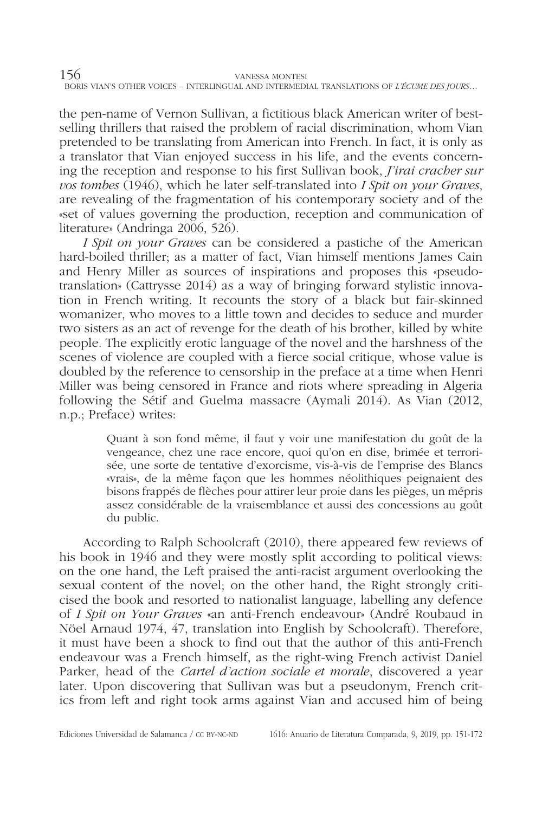the pen-name of Vernon Sullivan, a fictitious black American writer of bestselling thrillers that raised the problem of racial discrimination, whom Vian pretended to be translating from American into French. In fact, it is only as a translator that Vian enjoyed success in his life, and the events concerning the reception and response to his first Sullivan book, *J'irai cracher sur vos tombes* (1946), which he later self-translated into *I Spit on your Graves*, are revealing of the fragmentation of his contemporary society and of the «set of values governing the production, reception and communication of literature» (Andringa 2006, 526).

*I Spit on your Graves* can be considered a pastiche of the American hard-boiled thriller; as a matter of fact, Vian himself mentions James Cain and Henry Miller as sources of inspirations and proposes this «pseudotranslation» (Cattrysse 2014) as a way of bringing forward stylistic innovation in French writing. It recounts the story of a black but fair-skinned womanizer, who moves to a little town and decides to seduce and murder two sisters as an act of revenge for the death of his brother, killed by white people. The explicitly erotic language of the novel and the harshness of the scenes of violence are coupled with a fierce social critique, whose value is doubled by the reference to censorship in the preface at a time when Henri Miller was being censored in France and riots where spreading in Algeria following the Sétif and Guelma massacre (Aymali 2014). As Vian (2012, n.p.; Preface) writes:

> Quant à son fond même, il faut y voir une manifestation du goût de la vengeance, chez une race encore, quoi qu'on en dise, brimée et terrorisée, une sorte de tentative d'exorcisme, vis-à-vis de l'emprise des Blancs «vrais», de la même façon que les hommes néolithiques peignaient des bisons frappés de flèches pour attirer leur proie dans les pièges, un mépris assez considérable de la vraisemblance et aussi des concessions au goût du public.

According to Ralph Schoolcraft (2010), there appeared few reviews of his book in 1946 and they were mostly split according to political views: on the one hand, the Left praised the anti-racist argument overlooking the sexual content of the novel; on the other hand, the Right strongly criticised the book and resorted to nationalist language, labelling any defence of *I Spit on Your Graves* «an anti-French endeavour» (André Roubaud in Nöel Arnaud 1974, 47, translation into English by Schoolcraft). Therefore, it must have been a shock to find out that the author of this anti-French endeavour was a French himself, as the right-wing French activist Daniel Parker, head of the *Cartel d'action sociale et morale*, discovered a year later. Upon discovering that Sullivan was but a pseudonym, French critics from left and right took arms against Vian and accused him of being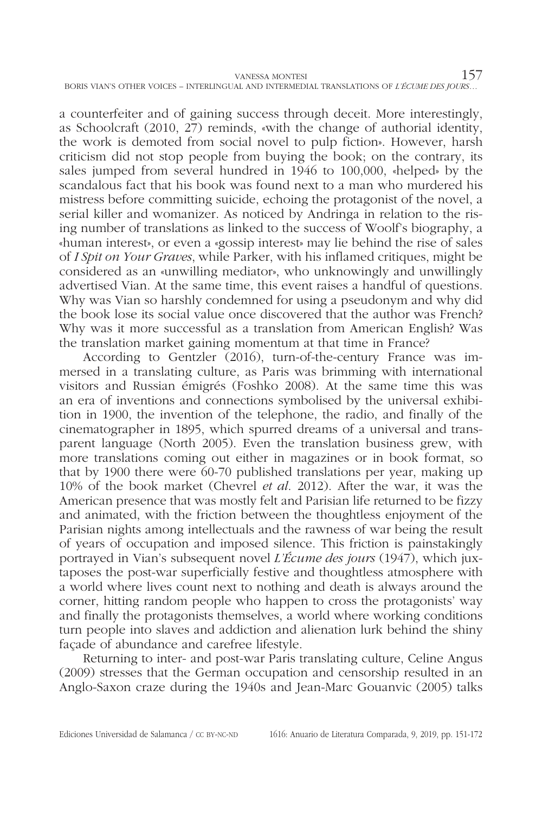a counterfeiter and of gaining success through deceit. More interestingly, as Schoolcraft (2010, 27) reminds, «with the change of authorial identity, the work is demoted from social novel to pulp fiction». However, harsh criticism did not stop people from buying the book; on the contrary, its sales jumped from several hundred in 1946 to 100,000, «helped» by the scandalous fact that his book was found next to a man who murdered his mistress before committing suicide, echoing the protagonist of the novel, a serial killer and womanizer. As noticed by Andringa in relation to the rising number of translations as linked to the success of Woolf's biography, a «human interest», or even a «gossip interest» may lie behind the rise of sales of *I Spit on Your Graves*, while Parker, with his inflamed critiques, might be considered as an «unwilling mediator», who unknowingly and unwillingly advertised Vian. At the same time, this event raises a handful of questions. Why was Vian so harshly condemned for using a pseudonym and why did the book lose its social value once discovered that the author was French? Why was it more successful as a translation from American English? Was the translation market gaining momentum at that time in France?

According to Gentzler (2016), turn-of-the-century France was immersed in a translating culture, as Paris was brimming with international visitors and Russian émigrés (Foshko 2008). At the same time this was an era of inventions and connections symbolised by the universal exhibition in 1900, the invention of the telephone, the radio, and finally of the cinematographer in 1895, which spurred dreams of a universal and transparent language (North 2005). Even the translation business grew, with more translations coming out either in magazines or in book format, so that by 1900 there were 60-70 published translations per year, making up 10% of the book market (Chevrel *et al*. 2012). After the war, it was the American presence that was mostly felt and Parisian life returned to be fizzy and animated, with the friction between the thoughtless enjoyment of the Parisian nights among intellectuals and the rawness of war being the result of years of occupation and imposed silence. This friction is painstakingly portrayed in Vian's subsequent novel *L'Écume des jours* (1947), which juxtaposes the post-war superficially festive and thoughtless atmosphere with a world where lives count next to nothing and death is always around the corner, hitting random people who happen to cross the protagonists' way and finally the protagonists themselves, a world where working conditions turn people into slaves and addiction and alienation lurk behind the shiny façade of abundance and carefree lifestyle.

Returning to inter- and post-war Paris translating culture, Celine Angus (2009) stresses that the German occupation and censorship resulted in an Anglo-Saxon craze during the 1940s and Jean-Marc Gouanvic (2005) talks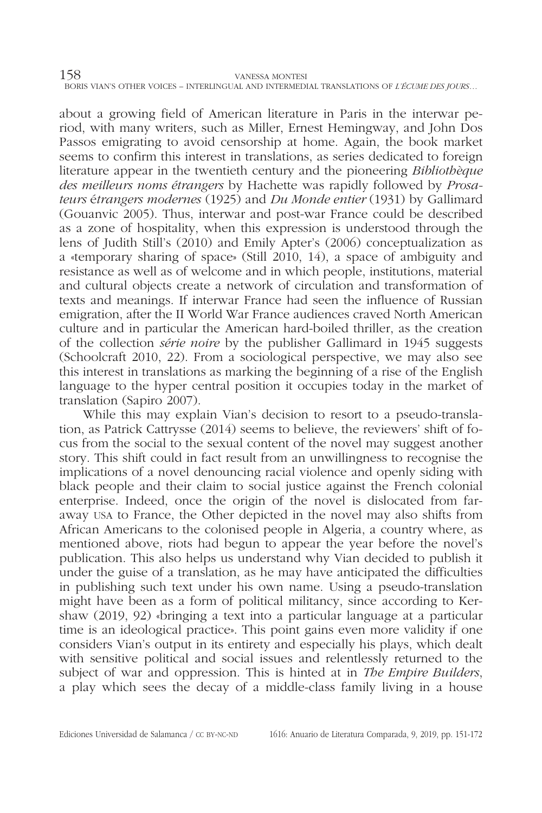about a growing field of American literature in Paris in the interwar period, with many writers, such as Miller, Ernest Hemingway, and John Dos Passos emigrating to avoid censorship at home. Again, the book market seems to confirm this interest in translations, as series dedicated to foreign literature appear in the twentieth century and the pioneering *Bibliothèque des meilleurs noms étrangers* by Hachette was rapidly followed by *Prosateurs* é*trangers modernes* (1925) and *Du Monde entier* (1931) by Gallimard (Gouanvic 2005). Thus, interwar and post-war France could be described as a zone of hospitality, when this expression is understood through the lens of Judith Still's (2010) and Emily Apter's (2006) conceptualization as a «temporary sharing of space» (Still 2010, 14), a space of ambiguity and resistance as well as of welcome and in which people, institutions, material and cultural objects create a network of circulation and transformation of texts and meanings. If interwar France had seen the influence of Russian emigration, after the II World War France audiences craved North American culture and in particular the American hard-boiled thriller, as the creation of the collection *série noire* by the publisher Gallimard in 1945 suggests (Schoolcraft 2010, 22). From a sociological perspective, we may also see this interest in translations as marking the beginning of a rise of the English language to the hyper central position it occupies today in the market of translation (Sapiro 2007).

While this may explain Vian's decision to resort to a pseudo-translation, as Patrick Cattrysse (2014) seems to believe, the reviewers' shift of focus from the social to the sexual content of the novel may suggest another story. This shift could in fact result from an unwillingness to recognise the implications of a novel denouncing racial violence and openly siding with black people and their claim to social justice against the French colonial enterprise. Indeed, once the origin of the novel is dislocated from faraway usa to France, the Other depicted in the novel may also shifts from African Americans to the colonised people in Algeria, a country where, as mentioned above, riots had begun to appear the year before the novel's publication. This also helps us understand why Vian decided to publish it under the guise of a translation, as he may have anticipated the difficulties in publishing such text under his own name. Using a pseudo-translation might have been as a form of political militancy, since according to Kershaw (2019, 92) «bringing a text into a particular language at a particular time is an ideological practice». This point gains even more validity if one considers Vian's output in its entirety and especially his plays, which dealt with sensitive political and social issues and relentlessly returned to the subject of war and oppression. This is hinted at in *The Empire Builders*, a play which sees the decay of a middle-class family living in a house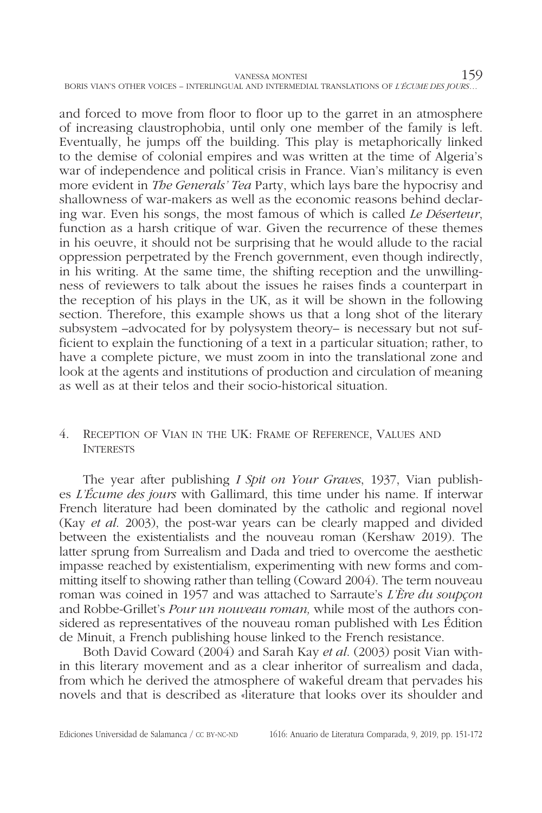and forced to move from floor to floor up to the garret in an atmosphere of increasing claustrophobia, until only one member of the family is left. Eventually, he jumps off the building. This play is metaphorically linked to the demise of colonial empires and was written at the time of Algeria's war of independence and political crisis in France. Vian's militancy is even more evident in *The Generals' Tea* Party, which lays bare the hypocrisy and shallowness of war-makers as well as the economic reasons behind declaring war. Even his songs, the most famous of which is called *Le Déserteur*, function as a harsh critique of war. Given the recurrence of these themes in his oeuvre, it should not be surprising that he would allude to the racial oppression perpetrated by the French government, even though indirectly, in his writing. At the same time, the shifting reception and the unwillingness of reviewers to talk about the issues he raises finds a counterpart in the reception of his plays in the UK, as it will be shown in the following section. Therefore, this example shows us that a long shot of the literary subsystem –advocated for by polysystem theory– is necessary but not sufficient to explain the functioning of a text in a particular situation; rather, to have a complete picture, we must zoom in into the translational zone and look at the agents and institutions of production and circulation of meaning as well as at their telos and their socio-historical situation.

# 4. Reception of Vian in the UK: Frame of Reference, Values and **INTERESTS**

The year after publishing *I Spit on Your Graves*, 1937, Vian publishes *L'Écume des jours* with Gallimard, this time under his name. If interwar French literature had been dominated by the catholic and regional novel (Kay *et al*. 2003), the post-war years can be clearly mapped and divided between the existentialists and the nouveau roman (Kershaw 2019). The latter sprung from Surrealism and Dada and tried to overcome the aesthetic impasse reached by existentialism, experimenting with new forms and committing itself to showing rather than telling (Coward 2004). The term nouveau roman was coined in 1957 and was attached to Sarraute's *L'Ère du soupçon* and Robbe-Grillet's *Pour un nouveau roman,* while most of the authors considered as representatives of the nouveau roman published with Les Édition de Minuit, a French publishing house linked to the French resistance.

Both David Coward (2004) and Sarah Kay *et al*. (2003) posit Vian within this literary movement and as a clear inheritor of surrealism and dada, from which he derived the atmosphere of wakeful dream that pervades his novels and that is described as «literature that looks over its shoulder and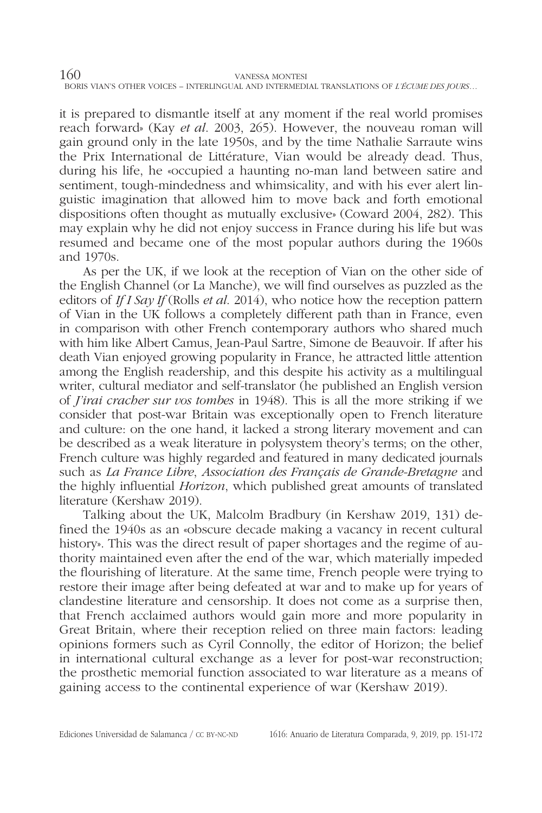it is prepared to dismantle itself at any moment if the real world promises reach forward» (Kay *et al*. 2003, 265). However, the nouveau roman will gain ground only in the late 1950s, and by the time Nathalie Sarraute wins the Prix International de Littérature, Vian would be already dead. Thus, during his life, he «occupied a haunting no-man land between satire and sentiment, tough-mindedness and whimsicality, and with his ever alert linguistic imagination that allowed him to move back and forth emotional dispositions often thought as mutually exclusive» (Coward 2004, 282). This may explain why he did not enjoy success in France during his life but was resumed and became one of the most popular authors during the 1960s and 1970s.

As per the UK, if we look at the reception of Vian on the other side of the English Channel (or La Manche), we will find ourselves as puzzled as the editors of *If I Say If* (Rolls *et al*. 2014), who notice how the reception pattern of Vian in the UK follows a completely different path than in France, even in comparison with other French contemporary authors who shared much with him like Albert Camus, Jean-Paul Sartre, Simone de Beauvoir. If after his death Vian enjoyed growing popularity in France, he attracted little attention among the English readership, and this despite his activity as a multilingual writer, cultural mediator and self-translator (he published an English version of *J'irai cracher sur vos tombes* in 1948). This is all the more striking if we consider that post-war Britain was exceptionally open to French literature and culture: on the one hand, it lacked a strong literary movement and can be described as a weak literature in polysystem theory's terms; on the other, French culture was highly regarded and featured in many dedicated journals such as *La France Libre*, *Association des Français de Grande-Bretagne* and the highly influential *Horizon*, which published great amounts of translated literature (Kershaw 2019).

Talking about the UK, Malcolm Bradbury (in Kershaw 2019, 131) defined the 1940s as an «obscure decade making a vacancy in recent cultural history». This was the direct result of paper shortages and the regime of authority maintained even after the end of the war, which materially impeded the flourishing of literature. At the same time, French people were trying to restore their image after being defeated at war and to make up for years of clandestine literature and censorship. It does not come as a surprise then, that French acclaimed authors would gain more and more popularity in Great Britain, where their reception relied on three main factors: leading opinions formers such as Cyril Connolly, the editor of Horizon; the belief in international cultural exchange as a lever for post-war reconstruction; the prosthetic memorial function associated to war literature as a means of gaining access to the continental experience of war (Kershaw 2019).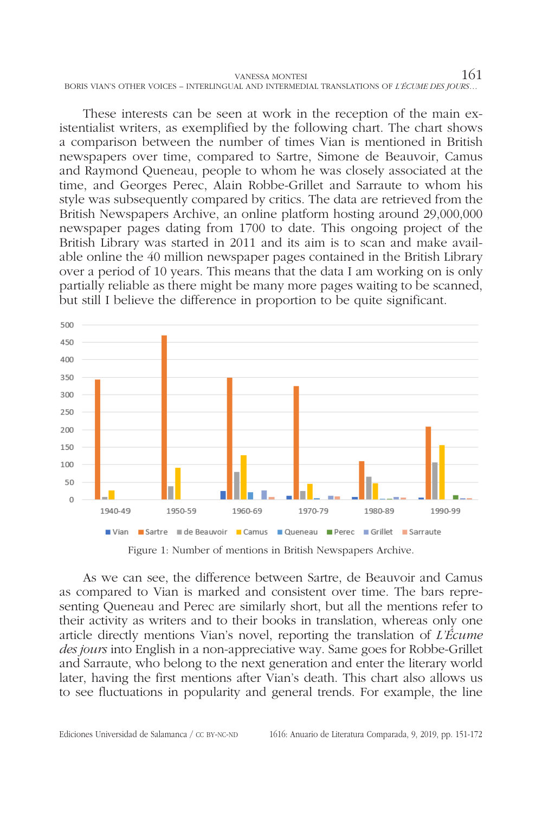vanessa montesi $161$ BORIS VIAN'S OTHER VOICES – INTERLINGUAL AND INTERMEDIAL TRANSLATIONS OF *L'ÉCUME DES JOURS*…

These interests can be seen at work in the reception of the main existentialist writers, as exemplified by the following chart. The chart shows a comparison between the number of times Vian is mentioned in British newspapers over time, compared to Sartre, Simone de Beauvoir, Camus and Raymond Queneau, people to whom he was closely associated at the time, and Georges Perec, Alain Robbe-Grillet and Sarraute to whom his style was subsequently compared by critics. The data are retrieved from the British Newspapers Archive, an online platform hosting around 29,000,000 newspaper pages dating from 1700 to date. This ongoing project of the British Library was started in 2011 and its aim is to scan and make available online the 40 million newspaper pages contained in the British Library over a period of 10 years. This means that the data I am working on is only partially reliable as there might be many more pages waiting to be scanned, but still I believe the difference in proportion to be quite significant.



Figure 1: Number of mentions in British Newspapers Archive.

As we can see, the difference between Sartre, de Beauvoir and Camus as compared to Vian is marked and consistent over time. The bars representing Queneau and Perec are similarly short, but all the mentions refer to their activity as writers and to their books in translation, whereas only one article directly mentions Vian's novel, reporting the translation of *L'Écume des jours* into English in a non-appreciative way. Same goes for Robbe-Grillet and Sarraute, who belong to the next generation and enter the literary world later, having the first mentions after Vian's death. This chart also allows us to see fluctuations in popularity and general trends. For example, the line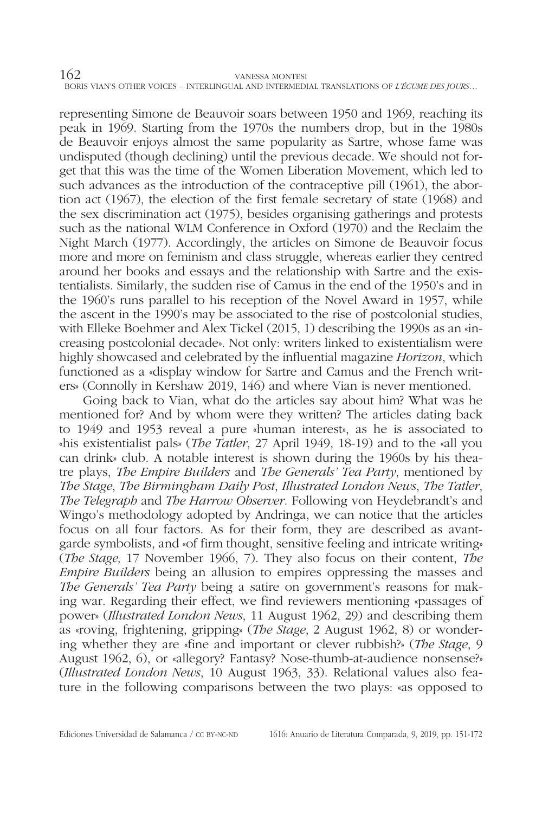representing Simone de Beauvoir soars between 1950 and 1969, reaching its peak in 1969. Starting from the 1970s the numbers drop, but in the 1980s de Beauvoir enjoys almost the same popularity as Sartre, whose fame was undisputed (though declining) until the previous decade. We should not forget that this was the time of the Women Liberation Movement, which led to such advances as the introduction of the contraceptive pill (1961), the abortion act (1967), the election of the first female secretary of state (1968) and the sex discrimination act (1975), besides organising gatherings and protests such as the national WLM Conference in Oxford (1970) and the Reclaim the Night March (1977). Accordingly, the articles on Simone de Beauvoir focus more and more on feminism and class struggle, whereas earlier they centred around her books and essays and the relationship with Sartre and the existentialists. Similarly, the sudden rise of Camus in the end of the 1950's and in the 1960's runs parallel to his reception of the Novel Award in 1957, while the ascent in the 1990's may be associated to the rise of postcolonial studies, with Elleke Boehmer and Alex Tickel (2015, 1) describing the 1990s as an «increasing postcolonial decade». Not only: writers linked to existentialism were highly showcased and celebrated by the influential magazine *Horizon*, which functioned as a «display window for Sartre and Camus and the French writers» (Connolly in Kershaw 2019, 146) and where Vian is never mentioned.

Going back to Vian, what do the articles say about him? What was he mentioned for? And by whom were they written? The articles dating back to 1949 and 1953 reveal a pure «human interest», as he is associated to «his existentialist pals» (*The Tatler*, 27 April 1949, 18-19) and to the «all you can drink» club. A notable interest is shown during the 1960s by his theatre plays, *The Empire Builders* and *The Generals' Tea Party*, mentioned by *The Stage*, *The Birmingham Daily Post*, *Illustrated London News*, *The Tatler*, *The Telegraph* and *The Harrow Observer*. Following von Heydebrandt's and Wingo's methodology adopted by Andringa, we can notice that the articles focus on all four factors. As for their form, they are described as avantgarde symbolists, and «of firm thought, sensitive feeling and intricate writing» (*The Stage,* 17 November 1966, 7). They also focus on their content, *The Empire Builders* being an allusion to empires oppressing the masses and *The Generals' Tea Party* being a satire on government's reasons for making war. Regarding their effect, we find reviewers mentioning «passages of power» (*Illustrated London News*, 11 August 1962, 29) and describing them as «roving, frightening, gripping» (*The Stage*, 2 August 1962, 8) or wondering whether they are «fine and important or clever rubbish?» (*The Stage*, 9 August 1962, 6), or «allegory? Fantasy? Nose-thumb-at-audience nonsense?» (*Illustrated London News*, 10 August 1963, 33). Relational values also feature in the following comparisons between the two plays: «as opposed to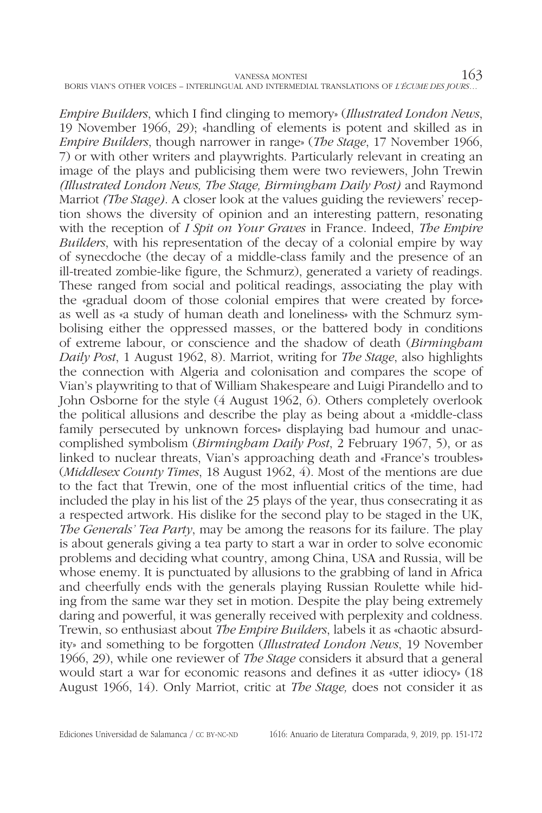*Empire Builders*, which I find clinging to memory» (*Illustrated London News*, 19 November 1966, 29); «handling of elements is potent and skilled as in *Empire Builders*, though narrower in range» (*The Stage*, 17 November 1966, 7) or with other writers and playwrights. Particularly relevant in creating an image of the plays and publicising them were two reviewers, John Trewin *(Illustrated London News, The Stage, Birmingham Daily Post)* and Raymond Marriot *(The Stage)*. A closer look at the values guiding the reviewers' reception shows the diversity of opinion and an interesting pattern, resonating with the reception of *I Spit on Your Graves* in France. Indeed, *The Empire Builders*, with his representation of the decay of a colonial empire by way of synecdoche (the decay of a middle-class family and the presence of an ill-treated zombie-like figure, the Schmurz), generated a variety of readings. These ranged from social and political readings, associating the play with the «gradual doom of those colonial empires that were created by force» as well as «a study of human death and loneliness» with the Schmurz symbolising either the oppressed masses, or the battered body in conditions of extreme labour, or conscience and the shadow of death (*Birmingham Daily Post*, 1 August 1962, 8). Marriot, writing for *The Stage*, also highlights the connection with Algeria and colonisation and compares the scope of Vian's playwriting to that of William Shakespeare and Luigi Pirandello and to John Osborne for the style (4 August 1962, 6). Others completely overlook the political allusions and describe the play as being about a «middle-class family persecuted by unknown forces» displaying bad humour and unaccomplished symbolism (*Birmingham Daily Post*, 2 February 1967, 5), or as linked to nuclear threats, Vian's approaching death and «France's troubles» (*Middlesex County Times*, 18 August 1962, 4). Most of the mentions are due to the fact that Trewin, one of the most influential critics of the time, had included the play in his list of the 25 plays of the year, thus consecrating it as a respected artwork. His dislike for the second play to be staged in the UK, *The Generals' Tea Party*, may be among the reasons for its failure. The play is about generals giving a tea party to start a war in order to solve economic problems and deciding what country, among China, USA and Russia, will be whose enemy. It is punctuated by allusions to the grabbing of land in Africa and cheerfully ends with the generals playing Russian Roulette while hiding from the same war they set in motion. Despite the play being extremely daring and powerful, it was generally received with perplexity and coldness. Trewin, so enthusiast about *The Empire Builders*, labels it as «chaotic absurdity» and something to be forgotten (*Illustrated London News*, 19 November 1966, 29), while one reviewer of *The Stage* considers it absurd that a general would start a war for economic reasons and defines it as «utter idiocy» (18 August 1966, 14). Only Marriot, critic at *The Stage,* does not consider it as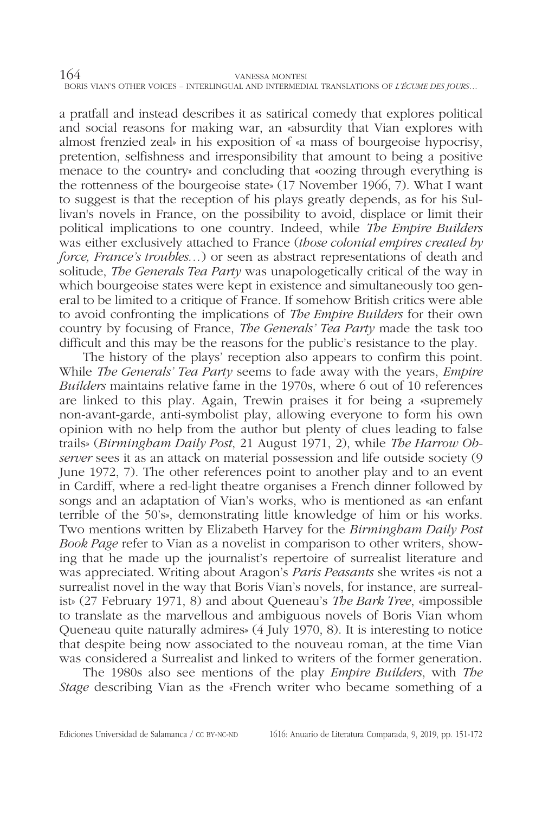a pratfall and instead describes it as satirical comedy that explores political and social reasons for making war, an «absurdity that Vian explores with almost frenzied zeal» in his exposition of «a mass of bourgeoise hypocrisy, pretention, selfishness and irresponsibility that amount to being a positive menace to the country» and concluding that «oozing through everything is the rottenness of the bourgeoise state» (17 November 1966, 7). What I want to suggest is that the reception of his plays greatly depends, as for his Sullivan's novels in France, on the possibility to avoid, displace or limit their political implications to one country. Indeed, while *The Empire Builders* was either exclusively attached to France (*those colonial empires created by force, France's troubles…*) or seen as abstract representations of death and solitude, *The Generals Tea Party* was unapologetically critical of the way in which bourgeoise states were kept in existence and simultaneously too general to be limited to a critique of France. If somehow British critics were able to avoid confronting the implications of *The Empire Builders* for their own country by focusing of France, *The Generals' Tea Party* made the task too difficult and this may be the reasons for the public's resistance to the play.

The history of the plays' reception also appears to confirm this point. While *The Generals' Tea Party* seems to fade away with the years, *Empire Builders* maintains relative fame in the 1970s, where 6 out of 10 references are linked to this play. Again, Trewin praises it for being a «supremely non-avant-garde, anti-symbolist play, allowing everyone to form his own opinion with no help from the author but plenty of clues leading to false trails» (*Birmingham Daily Post*, 21 August 1971, 2), while *The Harrow Observer* sees it as an attack on material possession and life outside society (9 June 1972, 7). The other references point to another play and to an event in Cardiff, where a red-light theatre organises a French dinner followed by songs and an adaptation of Vian's works, who is mentioned as «an enfant terrible of the 50's», demonstrating little knowledge of him or his works. Two mentions written by Elizabeth Harvey for the *Birmingham Daily Post Book Page* refer to Vian as a novelist in comparison to other writers, showing that he made up the journalist's repertoire of surrealist literature and was appreciated. Writing about Aragon's *Paris Peasants* she writes «is not a surrealist novel in the way that Boris Vian's novels, for instance, are surrealist» (27 February 1971, 8) and about Queneau's *The Bark Tree*, «impossible to translate as the marvellous and ambiguous novels of Boris Vian whom Queneau quite naturally admires» (4 July 1970, 8). It is interesting to notice that despite being now associated to the nouveau roman, at the time Vian was considered a Surrealist and linked to writers of the former generation.

The 1980s also see mentions of the play *Empire Builders*, with *The Stage* describing Vian as the «French writer who became something of a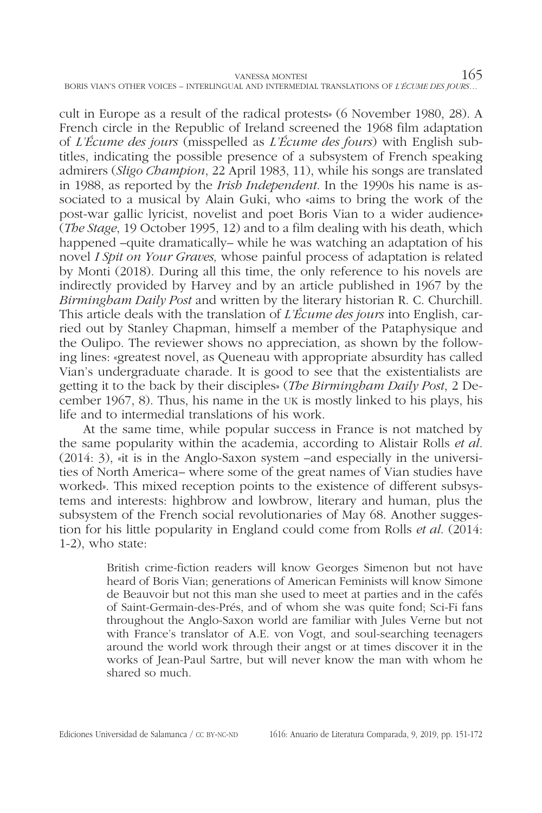cult in Europe as a result of the radical protests» (6 November 1980, 28). A French circle in the Republic of Ireland screened the 1968 film adaptation of *L'Écume des jours* (misspelled as *L'Écume des fours*) with English subtitles, indicating the possible presence of a subsystem of French speaking admirers (*Sligo Champion*, 22 April 1983, 11), while his songs are translated in 1988, as reported by the *Irish Independent*. In the 1990s his name is associated to a musical by Alain Guki, who «aims to bring the work of the post-war gallic lyricist, novelist and poet Boris Vian to a wider audience» (*The Stage*, 19 October 1995, 12) and to a film dealing with his death, which happened –quite dramatically– while he was watching an adaptation of his novel *I Spit on Your Graves,* whose painful process of adaptation is related by Monti (2018). During all this time, the only reference to his novels are indirectly provided by Harvey and by an article published in 1967 by the *Birmingham Daily Post* and written by the literary historian R. C. Churchill. This article deals with the translation of *L'Écume des jours* into English, carried out by Stanley Chapman, himself a member of the Pataphysique and the Oulipo. The reviewer shows no appreciation, as shown by the following lines: «greatest novel, as Queneau with appropriate absurdity has called Vian's undergraduate charade. It is good to see that the existentialists are getting it to the back by their disciples» (*The Birmingham Daily Post*, 2 December 1967, 8). Thus, his name in the uk is mostly linked to his plays, his life and to intermedial translations of his work.

At the same time, while popular success in France is not matched by the same popularity within the academia, according to Alistair Rolls *et al*. (2014: 3), «it is in the Anglo-Saxon system –and especially in the universities of North America– where some of the great names of Vian studies have worked». This mixed reception points to the existence of different subsystems and interests: highbrow and lowbrow, literary and human, plus the subsystem of the French social revolutionaries of May 68. Another suggestion for his little popularity in England could come from Rolls *et al*. (2014: 1-2), who state:

> British crime-fiction readers will know Georges Simenon but not have heard of Boris Vian; generations of American Feminists will know Simone de Beauvoir but not this man she used to meet at parties and in the cafés of Saint-Germain-des-Prés, and of whom she was quite fond; Sci-Fi fans throughout the Anglo-Saxon world are familiar with Jules Verne but not with France's translator of A.E. von Vogt, and soul-searching teenagers around the world work through their angst or at times discover it in the works of Jean-Paul Sartre, but will never know the man with whom he shared so much.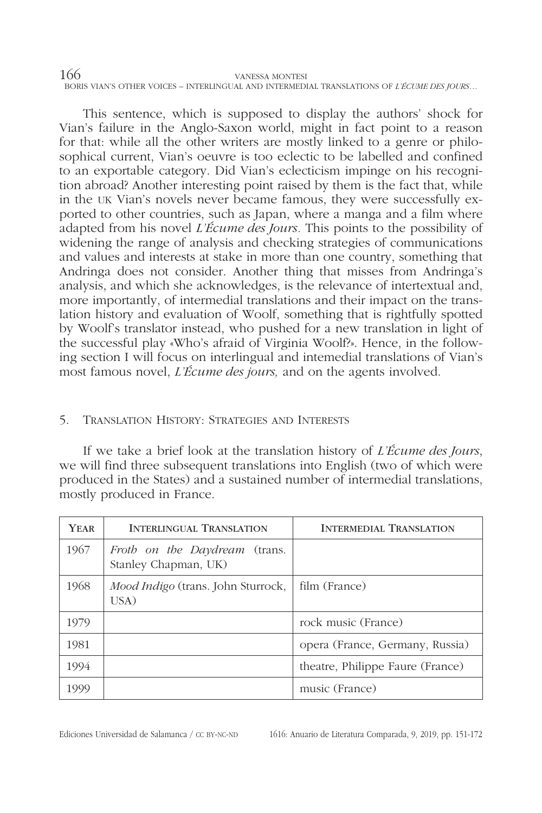This sentence, which is supposed to display the authors' shock for Vian's failure in the Anglo-Saxon world, might in fact point to a reason for that: while all the other writers are mostly linked to a genre or philosophical current, Vian's oeuvre is too eclectic to be labelled and confined to an exportable category. Did Vian's eclecticism impinge on his recognition abroad? Another interesting point raised by them is the fact that, while in the uk Vian's novels never became famous, they were successfully exported to other countries, such as Japan, where a manga and a film where adapted from his novel *L'Écume des Jours.* This points to the possibility of widening the range of analysis and checking strategies of communications and values and interests at stake in more than one country, something that Andringa does not consider. Another thing that misses from Andringa's analysis, and which she acknowledges, is the relevance of intertextual and, more importantly, of intermedial translations and their impact on the translation history and evaluation of Woolf, something that is rightfully spotted by Woolf's translator instead, who pushed for a new translation in light of the successful play «Who's afraid of Virginia Woolf?». Hence, in the following section I will focus on interlingual and intemedial translations of Vian's most famous novel, *L'Écume des jours,* and on the agents involved.

# 5. Translation History: Strategies and Interests

If we take a brief look at the translation history of *L'Écume des Jours*, we will find three subsequent translations into English (two of which were produced in the States) and a sustained number of intermedial translations, mostly produced in France.

| <b>YEAR</b> | <b>INTERLINGUAL TRANSLATION</b>                       | <b>INTERMEDIAL TRANSLATION</b>   |
|-------------|-------------------------------------------------------|----------------------------------|
| 1967        | Froth on the Daydream (trans.<br>Stanley Chapman, UK) |                                  |
| 1968        | <i>Mood Indigo</i> (trans. John Sturrock,<br>USA)     | film (France)                    |
| 1979        |                                                       | rock music (France)              |
| 1981        |                                                       | opera (France, Germany, Russia)  |
| 1994        |                                                       | theatre, Philippe Faure (France) |
| 1999        |                                                       | music (France)                   |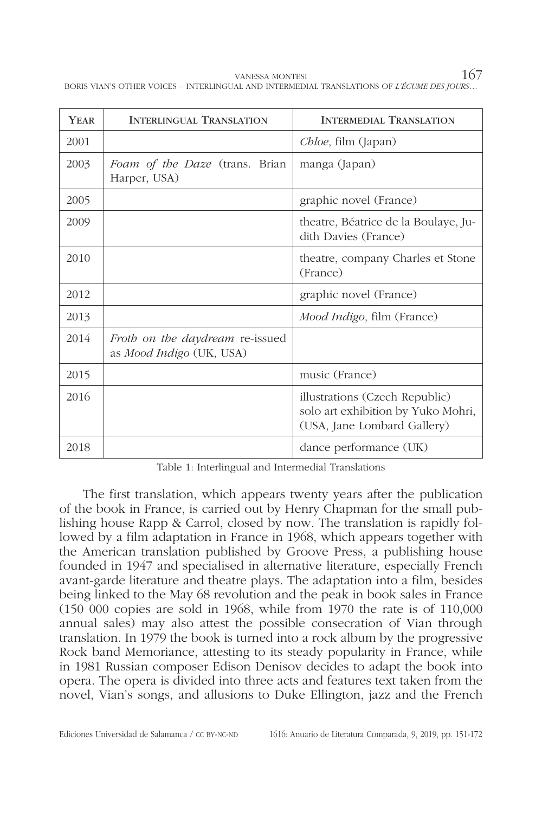| YEAR | <b>INTERLINGUAL TRANSLATION</b>                             | <b>INTERMEDIAL TRANSLATION</b>                                                                      |
|------|-------------------------------------------------------------|-----------------------------------------------------------------------------------------------------|
| 2001 |                                                             | Chloe, film (Japan)                                                                                 |
| 2003 | Foam of the Daze (trans. Brian<br>Harper, USA)              | manga (Japan)                                                                                       |
| 2005 |                                                             | graphic novel (France)                                                                              |
| 2009 |                                                             | theatre, Béatrice de la Boulaye, Ju-<br>dith Davies (France)                                        |
| 2010 |                                                             | theatre, company Charles et Stone<br>(France)                                                       |
| 2012 |                                                             | graphic novel (France)                                                                              |
| 2013 |                                                             | Mood Indigo, film (France)                                                                          |
| 2014 | Froth on the daydream re-issued<br>as Mood Indigo (UK, USA) |                                                                                                     |
| 2015 |                                                             | music (France)                                                                                      |
| 2016 |                                                             | illustrations (Czech Republic)<br>solo art exhibition by Yuko Mohri,<br>(USA, Jane Lombard Gallery) |
| 2018 |                                                             | dance performance (UK)                                                                              |

Table 1: Interlingual and Intermedial Translations

The first translation, which appears twenty years after the publication of the book in France, is carried out by Henry Chapman for the small publishing house Rapp & Carrol, closed by now. The translation is rapidly followed by a film adaptation in France in 1968, which appears together with the American translation published by Groove Press, a publishing house founded in 1947 and specialised in alternative literature, especially French avant-garde literature and theatre plays. The adaptation into a film, besides being linked to the May 68 revolution and the peak in book sales in France (150 000 copies are sold in 1968, while from 1970 the rate is of 110,000 annual sales) may also attest the possible consecration of Vian through translation. In 1979 the book is turned into a rock album by the progressive Rock band Memoriance, attesting to its steady popularity in France, while in 1981 Russian composer Edison Denisov decides to adapt the book into opera. The opera is divided into three acts and features text taken from the novel, Vian's songs, and allusions to Duke Ellington, jazz and the French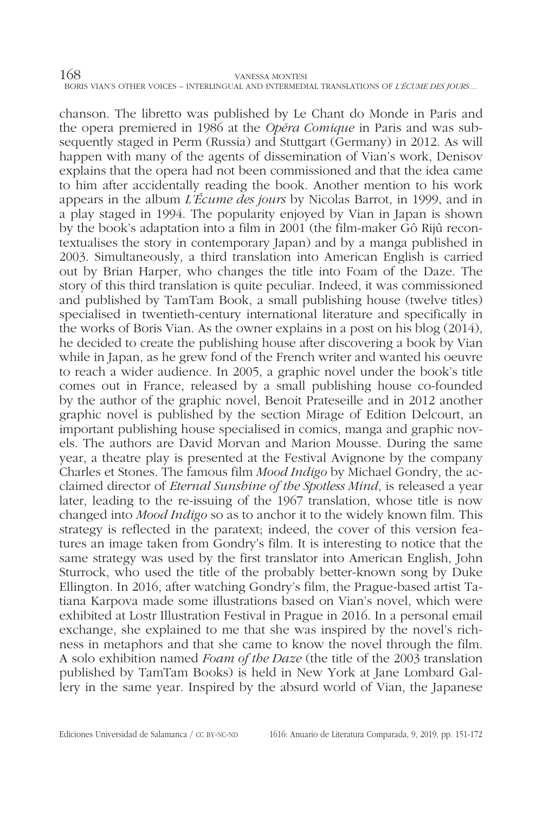chanson. The libretto was published by Le Chant do Monde in Paris and the opera premiered in 1986 at the *Opéra Comique* in Paris and was subsequently staged in Perm (Russia) and Stuttgart (Germany) in 2012. As will happen with many of the agents of dissemination of Vian's work, Denisov explains that the opera had not been commissioned and that the idea came to him after accidentally reading the book. Another mention to his work appears in the album *L'Écume des jours* by Nicolas Barrot, in 1999, and in a play staged in 1994. The popularity enjoyed by Vian in Japan is shown by the book's adaptation into a film in 2001 (the film-maker Gô Rijû recontextualises the story in contemporary Japan) and by a manga published in 2003. Simultaneously, a third translation into American English is carried out by Brian Harper, who changes the title into Foam of the Daze. The story of this third translation is quite peculiar. Indeed, it was commissioned and published by TamTam Book, a small publishing house (twelve titles) specialised in twentieth-century international literature and specifically in the works of Boris Vian. As the owner explains in a post on his blog (2014), he decided to create the publishing house after discovering a book by Vian while in Japan, as he grew fond of the French writer and wanted his oeuvre to reach a wider audience. In 2005, a graphic novel under the book's title comes out in France, released by a small publishing house co-founded by the author of the graphic novel, Benoit Prateseille and in 2012 another graphic novel is published by the section Mirage of Edition Delcourt, an important publishing house specialised in comics, manga and graphic novels. The authors are David Morvan and Marion Mousse. During the same year, a theatre play is presented at the Festival Avignone by the company Charles et Stones. The famous film *Mood Indigo* by Michael Gondry, the acclaimed director of *Eternal Sunshine of the Spotless Mind*, is released a year later, leading to the re-issuing of the 1967 translation, whose title is now changed into *Mood Indigo* so as to anchor it to the widely known film. This strategy is reflected in the paratext; indeed, the cover of this version features an image taken from Gondry's film. It is interesting to notice that the same strategy was used by the first translator into American English, John Sturrock, who used the title of the probably better-known song by Duke Ellington. In 2016, after watching Gondry's film, the Prague-based artist Tatiana Karpova made some illustrations based on Vian's novel, which were exhibited at Lostr Illustration Festival in Prague in 2016. In a personal email exchange, she explained to me that she was inspired by the novel's richness in metaphors and that she came to know the novel through the film. A solo exhibition named *Foam of the Daze* (the title of the 2003 translation published by TamTam Books) is held in New York at Jane Lombard Gallery in the same year. Inspired by the absurd world of Vian, the Japanese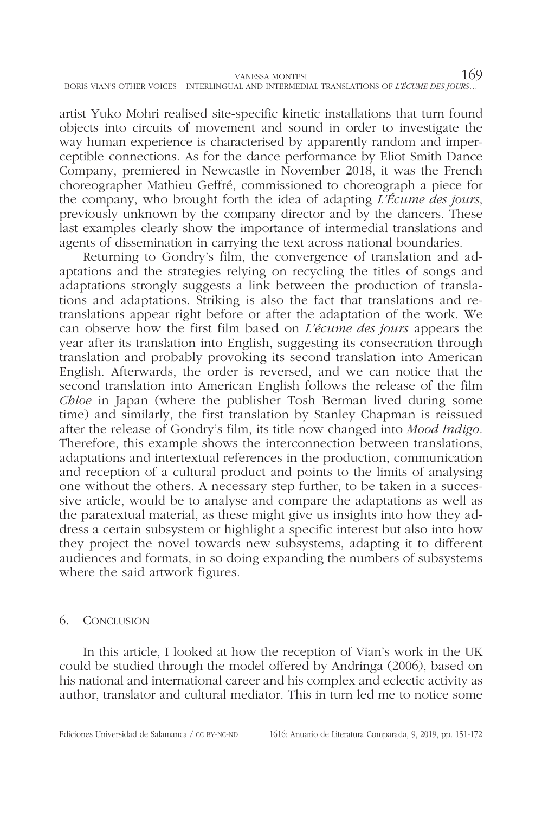| VANESSA MONTESI                                                                            | 169 |
|--------------------------------------------------------------------------------------------|-----|
| BORIS VIAN'S OTHER VOICES - INTERLINGUAL AND INTERMEDIAL TRANSLATIONS OF L'ÉCUME DES JOURS |     |

artist Yuko Mohri realised site-specific kinetic installations that turn found objects into circuits of movement and sound in order to investigate the way human experience is characterised by apparently random and imperceptible connections. As for the dance performance by Eliot Smith Dance Company, premiered in Newcastle in November 2018, it was the French choreographer Mathieu Geffré, commissioned to choreograph a piece for the company, who brought forth the idea of adapting *L'Écume des jours*, previously unknown by the company director and by the dancers. These last examples clearly show the importance of intermedial translations and agents of dissemination in carrying the text across national boundaries.

Returning to Gondry's film, the convergence of translation and adaptations and the strategies relying on recycling the titles of songs and adaptations strongly suggests a link between the production of translations and adaptations. Striking is also the fact that translations and retranslations appear right before or after the adaptation of the work. We can observe how the first film based on *L'écume des jours* appears the year after its translation into English, suggesting its consecration through translation and probably provoking its second translation into American English. Afterwards, the order is reversed, and we can notice that the second translation into American English follows the release of the film *Chloe* in Japan (where the publisher Tosh Berman lived during some time) and similarly, the first translation by Stanley Chapman is reissued after the release of Gondry's film, its title now changed into *Mood Indigo*. Therefore, this example shows the interconnection between translations, adaptations and intertextual references in the production, communication and reception of a cultural product and points to the limits of analysing one without the others. A necessary step further, to be taken in a successive article, would be to analyse and compare the adaptations as well as the paratextual material, as these might give us insights into how they address a certain subsystem or highlight a specific interest but also into how they project the novel towards new subsystems, adapting it to different audiences and formats, in so doing expanding the numbers of subsystems where the said artwork figures.

#### 6. Conclusion

In this article, I looked at how the reception of Vian's work in the UK could be studied through the model offered by Andringa (2006), based on his national and international career and his complex and eclectic activity as author, translator and cultural mediator. This in turn led me to notice some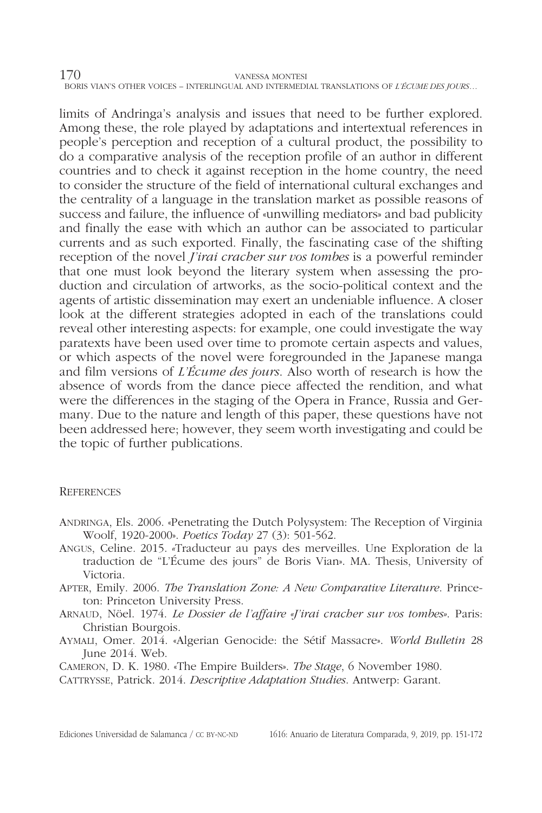limits of Andringa's analysis and issues that need to be further explored. Among these, the role played by adaptations and intertextual references in people's perception and reception of a cultural product, the possibility to do a comparative analysis of the reception profile of an author in different countries and to check it against reception in the home country, the need to consider the structure of the field of international cultural exchanges and the centrality of a language in the translation market as possible reasons of success and failure, the influence of «unwilling mediators» and bad publicity and finally the ease with which an author can be associated to particular currents and as such exported. Finally, the fascinating case of the shifting reception of the novel *J'irai cracher sur vos tombes* is a powerful reminder that one must look beyond the literary system when assessing the production and circulation of artworks, as the socio-political context and the agents of artistic dissemination may exert an undeniable influence. A closer look at the different strategies adopted in each of the translations could reveal other interesting aspects: for example, one could investigate the way paratexts have been used over time to promote certain aspects and values, or which aspects of the novel were foregrounded in the Japanese manga and film versions of *L'Écume des jours*. Also worth of research is how the absence of words from the dance piece affected the rendition, and what were the differences in the staging of the Opera in France, Russia and Germany. Due to the nature and length of this paper, these questions have not been addressed here; however, they seem worth investigating and could be the topic of further publications.

### **REFERENCES**

- Andringa, Els. 2006. «Penetrating the Dutch Polysystem: The Reception of Virginia Woolf, 1920-2000». *Poetics Today* 27 (3): 501-562.
- Angus, Celine*.* 2015. *«*Traducteur au pays des merveilles. Une Exploration de la traduction de "L'Écume des jours" de Boris Vian». MA. Thesis, University of Victoria.
- Apter, Emily. 2006. *The Translation Zone: A New Comparative Literature*. Princeton: Princeton University Press.
- Arnaud, Nöel. 1974. *Le Dossier de l'affaire «J'irai cracher sur vos tombes»*. Paris: Christian Bourgois.
- Aymali, Omer. 2014. «Algerian Genocide: the Sétif Massacre». *World Bulletin* 28 June 2014. Web.
- Cameron, D. K. 1980. «The Empire Builders». *The Stage*, 6 November 1980.

Cattrysse, Patrick. 2014. *Descriptive Adaptation Studies*. Antwerp: Garant.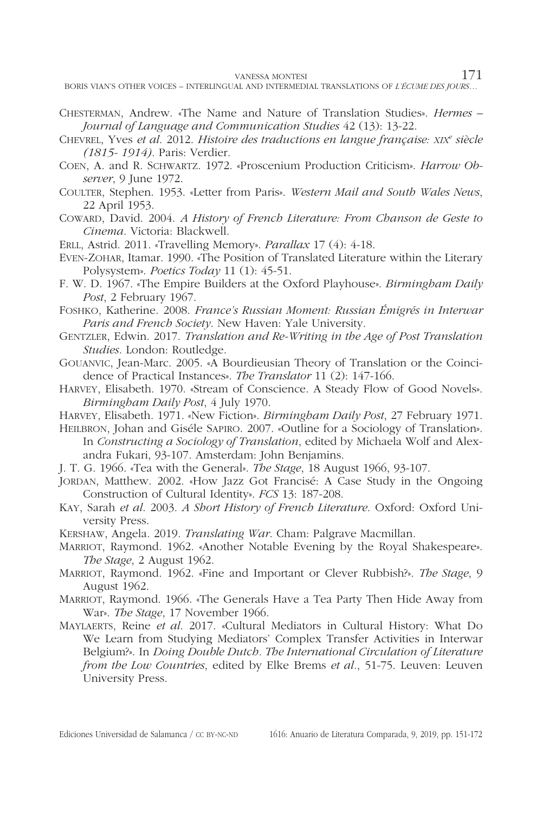VANESSA MONTESI 171

BORIS VIAN'S OTHER VOICES – INTERLINGUAL AND INTERMEDIAL TRANSLATIONS OF *L'ÉCUME DES JOURS*…

- Chesterman, Andrew. «The Name and Nature of Translation Studies». *Hermes Journal of Language and Communication Studies* 42 (13): 13-22.
- Chevrel, Yves *et al*. 2012. *Histoire des traductions en langue française: xix<sup>e</sup> siècle (1815- 1914)*. Paris: Verdier.
- Coen, A. and R. Schwartz. 1972. «Proscenium Production Criticism». *Harrow Observer*, 9 June 1972.
- Coulter, Stephen. 1953. «Letter from Paris». *Western Mail and South Wales News*, 22 April 1953.
- Coward, David. 2004. *A History of French Literature: From Chanson de Geste to Cinema*. Victoria: Blackwell.
- Erll, Astrid. 2011. «Travelling Memory». *Parallax* 17 (4): 4-18.
- Even-Zohar, Itamar. 1990. «The Position of Translated Literature within the Literary Polysystem». *Poetics Today* 11 (1): 45-51.
- F. W. D. 1967. «The Empire Builders at the Oxford Playhouse». *Birmingham Daily Post*, 2 February 1967.
- Foshko, Katherine. 2008. *France's Russian Moment: Russian Émigrés in Interwar Paris and French Society*. New Haven: Yale University.
- Gentzler, Edwin. 2017. *Translation and Re-Writing in the Age of Post Translation Studies*. London: Routledge.
- Gouanvic, Jean-Marc. 2005. «A Bourdieusian Theory of Translation or the Coincidence of Practical Instances». *The Translator* 11 (2): 147-166.
- Harvey, Elisabeth. 1970. «Stream of Conscience. A Steady Flow of Good Novels». *Birmingham Daily Post*, 4 July 1970.
- Harvey, Elisabeth. 1971. «New Fiction». *Birmingham Daily Post*, 27 February 1971.
- HEILBRON, Johan and Giséle SAPIRO. 2007. «Outline for a Sociology of Translation». In *Constructing a Sociology of Translation*, edited by Michaela Wolf and Alexandra Fukari, 93-107. Amsterdam: John Benjamins.
- J. T. G. 1966. «Tea with the General». *The Stage*, 18 August 1966, 93-107.
- JORDAN, Matthew. 2002. «How Jazz Got Francisé: A Case Study in the Ongoing Construction of Cultural Identity». *FCS* 13: 187-208.
- Kay, Sarah *et al*. 2003. *A Short History of French Literature*. Oxford: Oxford University Press.
- Kershaw, Angela. 2019. *Translating War*. Cham: Palgrave Macmillan.
- Marriot, Raymond. 1962. «Another Notable Evening by the Royal Shakespeare». *The Stage*, 2 August 1962.
- Marriot, Raymond. 1962. «Fine and Important or Clever Rubbish?». *The Stage*, 9 August 1962.
- Marriot, Raymond. 1966. «The Generals Have a Tea Party Then Hide Away from War». *The Stage*, 17 November 1966.
- Maylaerts, Reine *et al*. 2017. «Cultural Mediators in Cultural History: What Do We Learn from Studying Mediators' Complex Transfer Activities in Interwar Belgium?». In *Doing Double Dutch. The International Circulation of Literature from the Low Countries*, edited by Elke Brems *et al.*, 51-75. Leuven: Leuven University Press.